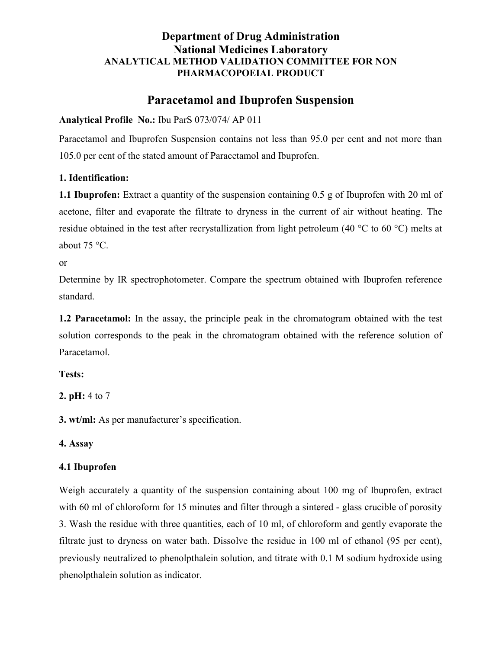## Department of Drug Administration National Medicines Laboratory ANALYTICAL METHOD VALIDATION COMMITTEE FOR NON PHARMACOPOEIAL PRODUCT

# Paracetamol and Ibuprofen Suspension

Analytical Profile No.: Ibu ParS 073/074/ AP 011

Paracetamol and Ibuprofen Suspension contains not less than 95.0 per cent and not more than 105.0 per cent of the stated amount of Paracetamol and Ibuprofen.

### 1. Identification:

1.1 Ibuprofen: Extract a quantity of the suspension containing 0.5 g of Ibuprofen with 20 ml of acetone, filter and evaporate the filtrate to dryness in the current of air without heating. The residue obtained in the test after recrystallization from light petroleum (40 °C to 60 °C) melts at about 75 °C.

or

Determine by IR spectrophotometer. Compare the spectrum obtained with Ibuprofen reference standard.

1.2 Paracetamol: In the assay, the principle peak in the chromatogram obtained with the test solution corresponds to the peak in the chromatogram obtained with the reference solution of Paracetamol.

Tests:

2. pH: 4 to 7

3. wt/ml: As per manufacturer's specification.

4. Assay

### 4.1 Ibuprofen

Weigh accurately a quantity of the suspension containing about 100 mg of Ibuprofen, extract with 60 ml of chloroform for 15 minutes and filter through a sintered - glass crucible of porosity 3. Wash the residue with three quantities, each of 10 ml, of chloroform and gently evaporate the filtrate just to dryness on water bath. Dissolve the residue in 100 ml of ethanol (95 per cent), previously neutralized to phenolpthalein solution, and titrate with 0.1 M sodium hydroxide using phenolpthalein solution as indicator.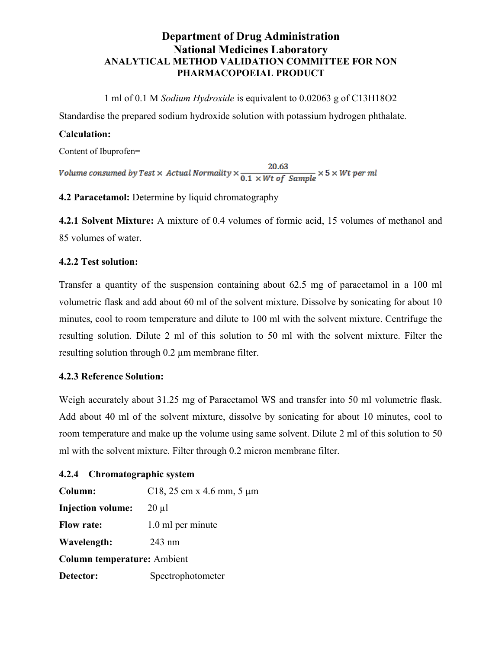# Department of Drug Administration National Medicines Laboratory ANALYTICAL METHOD VALIDATION COMMITTEE FOR NON PHARMACOPOEIAL PRODUCT

1 ml of 0.1 M Sodium Hydroxide is equivalent to 0.02063 g of C13H18O2

Standardise the prepared sodium hydroxide solution with potassium hydrogen phthalate.

#### Calculation:

Content of Ibuprofen=

 $\label{eq:volume} Volume\; consumed\; by\;Test\times\;Actual\; Normality \times \frac{20.63}{0.1\times Wt\; of\; Sample} \times 5\times Wt\; per\;ml$ 

4.2 Paracetamol: Determine by liquid chromatography

4.2.1 Solvent Mixture: A mixture of 0.4 volumes of formic acid, 15 volumes of methanol and 85 volumes of water.

#### 4.2.2 Test solution:

Transfer a quantity of the suspension containing about 62.5 mg of paracetamol in a 100 ml volumetric flask and add about 60 ml of the solvent mixture. Dissolve by sonicating for about 10 minutes, cool to room temperature and dilute to 100 ml with the solvent mixture. Centrifuge the resulting solution. Dilute 2 ml of this solution to 50 ml with the solvent mixture. Filter the resulting solution through 0.2 µm membrane filter.

### 4.2.3 Reference Solution:

Weigh accurately about 31.25 mg of Paracetamol WS and transfer into 50 ml volumetric flask. Add about 40 ml of the solvent mixture, dissolve by sonicating for about 10 minutes, cool to room temperature and make up the volume using same solvent. Dilute 2 ml of this solution to 50 ml with the solvent mixture. Filter through 0.2 micron membrane filter.

#### 4.2.4 Chromatographic system

| Column:                            | C18, 25 cm x 4.6 mm, 5 $\mu$ m |
|------------------------------------|--------------------------------|
| <b>Injection volume:</b>           | $20 \mu l$                     |
| <b>Flow rate:</b>                  | 1.0 ml per minute              |
| Wavelength:                        | $243 \text{ nm}$               |
| <b>Column temperature:</b> Ambient |                                |
| Detector:                          | Spectrophotometer              |